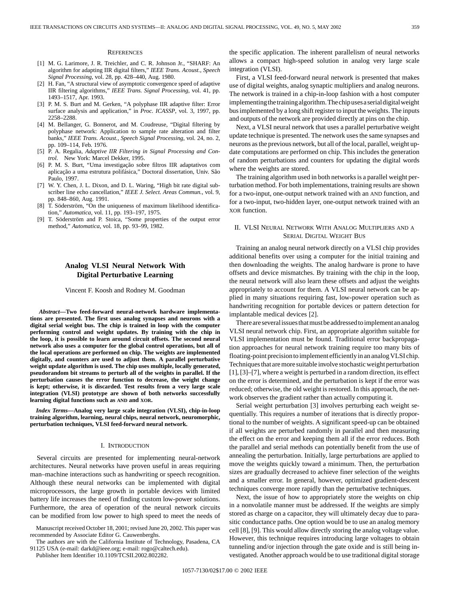#### **REFERENCES**

- [1] M. G. Larimore, J. R. Treichler, and C. R. Johnson Jr., "SHARF: An algorithm for adapting IIR digital filters," *IEEE Trans. Acoust., Speech Signal Processing*, vol. 28, pp. 428–440, Aug. 1980.
- H. Fan, "A structural view of asymptotic convergence speed of adaptive IIR filtering algorithms," *IEEE Trans. Signal Processing*, vol. 41, pp. 1493–1517, Apr. 1993.
- [3] P. M. S. Burt and M. Gerken, "A polyphase IIR adaptive filter: Error surface analysis and application," in *Proc. ICASSP*, vol. 3, 1997, pp. 2258–2288.
- [4] M. Bellanger, G. Bonnerot, and M. Coudreuse, "Digital filtering by polyphase network: Application to sample rate alteration and filter banks," *IEEE Trans. Acoust., Speech Signal Processing*, vol. 24, no. 2, pp. 109–114, Feb. 1976.
- [5] P. A. Regalia, *Adaptive IIR Filtering in Signal Processing and Control*. New York: Marcel Dekker, 1995.
- [6] P. M. S. Burt, "Uma investigação sobre filtros IIR adaptativos com aplicação a uma estrutura polifásica," Doctoral dissertation, Univ. São Paulo, 1997.
- [7] W. Y. Chen, J. L. Dixon, and D. L. Waring, "High bit rate digital subscriber line echo cancellation," *IEEE J. Select. Areas Commun.*, vol. 9, pp. 848–860, Aug. 1991.
- [8] T. Söderström, "On the uniqueness of maximum likelihood identification," *Automatica*, vol. 11, pp. 193–197, 1975.
- [9] T. Söderström and P. Stoica, "Some properties of the output error method," *Automatica*, vol. 18, pp. 93–99, 1982.

# **Analog VLSI Neural Network With Digital Perturbative Learning**

Vincent F. Koosh and Rodney M. Goodman

*Abstract—***Two feed-forward neural-network hardware implementations are presented. The first uses analog synapses and neurons with a digital serial weight bus. The chip is trained in loop with the computer performing control and weight updates. By training with the chip in the loop, it is possible to learn around circuit offsets. The second neural network also uses a computer for the global control operations, but all of the local operations are performed on chip. The weights are implemented digitally, and counters are used to adjust them. A parallel perturbative weight update algorithm is used. The chip uses multiple, locally generated, pseudorandom bit streams to perturb all of the weights in parallel. If the perturbation causes the error function to decrease, the weight change is kept; otherwise, it is discarded. Test results from a very large scale integration (VLSI) prototype are shown of both networks successfully learning digital functions such as AND and XOR.**

*Index Terms—***Analog very large scale integration (VLSI), chip-in-loop training algorithm, learning, neural chips, neural network, neuromorphic, perturbation techniques, VLSI feed-forward neural network.**

#### I. INTRODUCTION

Several circuits are presented for implementing neural-network architectures. Neural networks have proven useful in areas requiring man–machine interactions such as handwriting or speech recognition. Although these neural networks can be implemented with digital microprocessors, the large growth in portable devices with limited battery life increases the need of finding custom low-power solutions. Furthermore, the area of operation of the neural network circuits can be modified from low power to high speed to meet the needs of

Manuscript received October 18, 2001; revised June 20, 2002. This paper was recommended by Associate Editor G. Cauwenberghs.

The authors are with the California Institute of Technology, Pasadena, CA 91125 USA (e-mail: darkd@ieee.org; e-mail: rogo@caltech.edu).

Publisher Item Identifier 10.1109/TCSII.2002.802282.

the specific application. The inherent parallelism of neural networks allows a compact high-speed solution in analog very large scale integration (VLSI).

First, a VLSI feed-forward neural network is presented that makes use of digital weights, analog synaptic multipliers and analog neurons. The network is trained in a chip-in-loop fashion with a host computer implementing the training algorithm. The chipuses a serial digital weight bus implemented by a long shift register to input the weights. The inputs and outputs of the network are provided directly at pins on the chip.

Next, a VLSI neural network that uses a parallel perturbative weight update technique is presented. The network uses the same synapses and neurons as the previous network, but all of the local, parallel, weight update computations are performed on chip. This includes the generation of random perturbations and counters for updating the digital words where the weights are stored.

The training algorithm used in both networks is a parallel weight perturbation method. For both implementations, training results are shown for a two-input, one-output network trained with an AND function, and for a two-input, two-hidden layer, one-output network trained with an XOR function.

# II. VLSI NEURAL NETWORK WITH ANALOG MULTIPLIERS AND A SERIAL DIGITAL WEIGHT BUS

Training an analog neural network directly on a VLSI chip provides additional benefits over using a computer for the initial training and then downloading the weights. The analog hardware is prone to have offsets and device mismatches. By training with the chip in the loop, the neural network will also learn these offsets and adjust the weights appropriately to account for them. A VLSI neural network can be applied in many situations requiring fast, low-power operation such as handwriting recognition for portable devices or pattern detection for implantable medical devices [2].

There are several issues that must be addressed to implement an analog VLSI neural network chip. First, an appropriate algorithm suitable for VLSI implementation must be found. Traditional error backpropagation approaches for neural network training require too many bits of floating-point precision to implement efficiently in an analog VLSI chip. Techniques that are more suitable involve stochastic weight perturbation [1], [3]–[7], where a weight is perturbed in a random direction, its effect on the error is determined, and the perturbation is kept if the error was reduced; otherwise, the old weight is restored. In this approach, the network observes the gradient rather than actually computing it.

Serial weight perturbation [3] involves perturbing each weight sequentially. This requires a number of iterations that is directly proportional to the number of weights. A significant speed-up can be obtained if all weights are perturbed randomly in parallel and then measuring the effect on the error and keeping them all if the error reduces. Both the parallel and serial methods can potentially benefit from the use of annealing the perturbation. Initially, large perturbations are applied to move the weights quickly toward a minimum. Then, the perturbation sizes are gradually decreased to achieve finer selection of the weights and a smaller error. In general, however, optimized gradient-descent techniques converge more rapidly than the perturbative techniques.

Next, the issue of how to appropriately store the weights on chip in a nonvolatile manner must be addressed. If the weights are simply stored as charge on a capacitor, they will ultimately decay due to parasitic conductance paths. One option would be to use an analog memory cell [8], [9]. This would allow directly storing the analog voltage value. However, this technique requires introducing large voltages to obtain tunneling and/or injection through the gate oxide and is still being investigated. Another approach would be to use traditional digital storage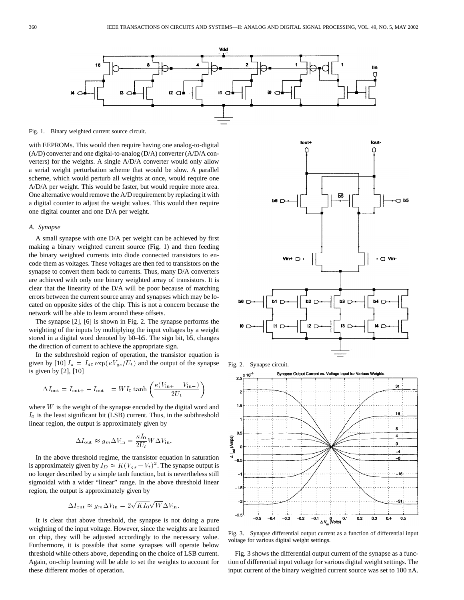

Fig. 1. Binary weighted current source circuit.

with EEPROMs. This would then require having one analog-to-digital (A/D) converter and one digital-to-analog (D/A) converter (A/D/A converters) for the weights. A single A/D/A converter would only allow a serial weight perturbation scheme that would be slow. A parallel scheme, which would perturb all weights at once, would require one A/D/A per weight. This would be faster, but would require more area. One alternative would remove the A/D requirement by replacing it with a digital counter to adjust the weight values. This would then require one digital counter and one D/A per weight.

#### *A. Synapse*

A small synapse with one D/A per weight can be achieved by first making a binary weighted current source (Fig. 1) and then feeding the binary weighted currents into diode connected transistors to encode them as voltages. These voltages are then fed to transistors on the synapse to convert them back to currents. Thus, many D/A converters are achieved with only one binary weighted array of transistors. It is clear that the linearity of the D/A will be poor because of matching errors between the current source array and synapses which may be located on opposite sides of the chip. This is not a concern because the network will be able to learn around these offsets.

The synapse [2], [6] is shown in Fig. 2. The synapse performs the weighting of the inputs by multiplying the input voltages by a weight stored in a digital word denoted by b0–b5. The sign bit, b5, changes the direction of current to achieve the appropriate sign.

In the subthreshold region of operation, the transistor equation is given by [10]  $I_d = I_{d0} \exp(\kappa V_{gs}/U_t)$  and the output of the synapse is given by [2], [10] the subthreshold region of operation, the transistor equals<br>  $\sum_{i=1}^{N} \sum_{i=1}^{N} \sum_{j=1}^{N} \sum_{j=1}^{N} \sum_{j=1}^{N} \sum_{j=1}^{N} \sum_{j=1}^{N} \sum_{j=1}^{N} \sum_{j=1}^{N} \sum_{j=1}^{N} \sum_{j=1}^{N} \sum_{j=1}^{N} \sum_{j=1}^{N} \sum_{j=1}^{N} \sum_{j=1}^{N} \sum_{j=1}^{N$ 

$$
\Delta I_{\text{out}} = I_{\text{out+}} - I_{\text{out-}} = WI_0 \tanh\left(\frac{\kappa(V_{\text{in+}} - V_{\text{in-}})}{2U_t}\right)
$$

where  $W$  is the weight of the synapse encoded by the digital word and  $I_0$  is the least significant bit (LSB) current. Thus, in the subthreshold linear region, the output is approximately given by

$$
\Delta I_{\text{out}} \approx g_m \Delta V_{\text{in}} = \frac{\kappa I_0}{2U_t} W \Delta V_{\text{in}}.
$$

In the above threshold regime, the transistor equation in saturation is approximately given by  $I_D \approx K(V_{gs} - V_t)^2$ . The synapse output is no longer described by a simple tanh function, but is nevertheless still sigmoidal with a wider "linear" range. In the above threshold linear region, the output is approximately given by

$$
\Delta I_{\text{out}} \approx g_m \Delta V_{\text{in}} = 2\sqrt{K I_0} \sqrt{W} \Delta V_{\text{in}}.
$$

It is clear that above threshold, the synapse is not doing a pure weighting of the input voltage. However, since the weights are learned on chip, they will be adjusted accordingly to the necessary value. Furthermore, it is possible that some synapses will operate below threshold while others above, depending on the choice of LSB current. Again, on-chip learning will be able to set the weights to account for these different modes of operation.



Fig. 2. Synapse circuit.



Fig. 3. Synapse differential output current as a function of differential input voltage for various digital weight settings.

Fig. 3 shows the differential output current of the synapse as a function of differential input voltage for various digital weight settings. The input current of the binary weighted current source was set to 100 nA.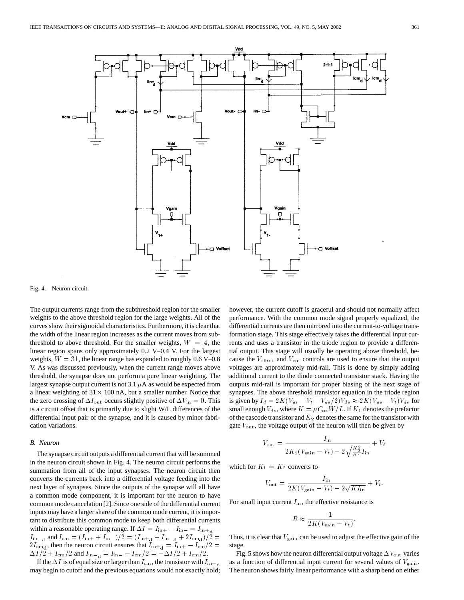

Fig. 4. Neuron circuit.

The output currents range from the subthreshold region for the smaller weights to the above threshold region for the large weights. All of the curves show their sigmoidal characteristics. Furthermore, it is clear that the width of the linear region increases as the current moves from subthreshold to above threshold. For the smaller weights,  $W = 4$ , the linear region spans only approximately 0.2 V–0.4 V. For the largest weights,  $W = 31$ , the linear range has expanded to roughly 0.6 V–0.8 V. As was discussed previously, when the current range moves above threshold, the synapse does not perform a pure linear weighting. The largest synapse output current is not 3.1  $\mu$ A as would be expected from a linear weighting of  $31 \times 100$  nA, but a smaller number. Notice that the zero crossing of  $\Delta I_{\text{out}}$  occurs slightly positive of  $\Delta V_{\text{in}} = 0$ . This is a circuit offset that is primarily due to slight W/L differences of the differential input pair of the synapse, and it is caused by minor fabrication variations.

# *B. Neuron*

The synapse circuit outputs a differential current that will be summed in the neuron circuit shown in Fig. 4. The neuron circuit performs the summation from all of the input synapses. The neuron circuit then converts the currents back into a differential voltage feeding into the next layer of synapses. Since the outputs of the synapse will all have a common mode component, it is important for the neuron to have common mode cancelation [2]. Since one side of the differential current inputs may have a larger share of the common mode current, it is important to distribute this common mode to keep both differential currents inputs may have a larger share of the common mode current, it is impor-<br>tant to distribute this common mode to keep both differential currents<br>within a reasonable operating range. If  $\Delta I = I_{in+} - I_{in-} = I_{in+a} -$ <br> $I_{in-a}$  and  $2I_{\text{cm}_{\text{d}}}$ , then the neuron circuit ensures that  $I_{\text{in}_{\text{d}}} = I_{\text{in}_{\text{d}}} - I_{\text{cm}}/2 =$  $I_{\text{in}-\text{d}}$  and  $I_{\text{cm}} = (I_{\text{in}+} + I_{\text{in}-})/2 = (I_{\text{in}+d} + I_{\text{in}-d} + 2I_{\text{cm}d})/2 = 2I_{\text{cm}d}$ , then the neuron circuit ensures that  $I_{\text{in}+d} = I_{\text{in}+} - I_{\text{cm}}/2 = \Delta I/2 + I_{\text{cm}}/2 = \Delta I/2 + I_{\text{cm}}/2$ .<br>
If the  $\Delta I$  is o

may begin to cutoff and the previous equations would not exactly hold;

however, the current cutoff is graceful and should not normally affect performance. With the common mode signal properly equalized, the differential currents are then mirrored into the current-to-voltage transformation stage. This stage effectively takes the differential input currents and uses a transistor in the triode region to provide a differential output. This stage will usually be operating above threshold, because the  $V_{\text{offset}}$  and  $V_{\text{cm}}$  controls are used to ensure that the output voltages are approximately mid-rail. This is done by simply adding additional current to the diode connected transistor stack. Having the outputs mid-rail is important for proper biasing of the next stage of synapses. The above threshold transistor equation in the triode region is given by  $I_d = 2K(V_{gs} - V_t - V_{ds}/2)V_{ds} \approx 2K(V_{gs} - V_t)V_{ds}$  for small enough  $V_{ds}$ , where  $K = \mu C_{\text{ox}} W/L$ . If  $K_1$  denotes the prefactor of the cascode transistor and  $K_2$  denotes the same for the transistor with gate  $V_{\text{out}}$ , the voltage output of the neuron will then be given by

$$
V_{\text{out}} = \frac{I_{\text{in}}}{2K_2(V_{\text{gain}} - V_t) - 2\sqrt{\frac{K_2^2}{K_1}I_{\text{in}}}} + V_t
$$

which for  $K_1 = K_2$  converts to

$$
V_{\text{out}} = \frac{I_{\text{in}}}{2K(V_{\text{gain}} - V_t) - 2\sqrt{KI_{\text{in}}}} + V_t.
$$

For small input current  $I_{\text{in}}$ , the effective resistance is

$$
R \approx \frac{1}{2K(V_{\rm gain} - V_t)}.
$$

Thus, it is clear that  $V_{\text{gain}}$  can be used to adjust the effective gain of the stage.

Fig. 5 shows how the neuron differential output voltage  $\Delta V_{\rm out}$  varies as a function of differential input current for several values of  $V_{\text{gain}}$ . The neuron shows fairly linear performance with a sharp bend on either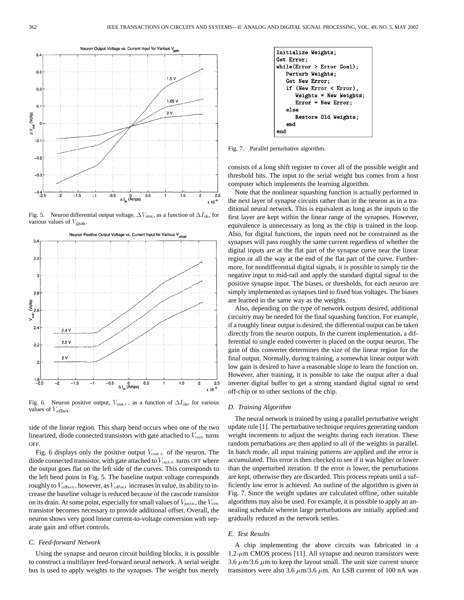

Fig. 5. Neuron differential output voltage,  $\Delta V_{\rm out}$ , as a function of  $\Delta I_{\rm in}$ , for various values of  $V_{\rm gain}.$ 



Fig. 6. Neuron positive output,  $V_{\text{out}+}$ , as a function of  $\Delta I_{\text{in}}$ , for various values of  $V_{\text{offset}}$ .

side of the linear region. This sharp bend occurs when one of the two linearized, diode connected transistors with gate attached to  $V_{\text{out}}$  turns OFF.

Fig. 6 displays only the positive output  $V_{\text{out+}}$  of the neuron. The diode connected transistor, with gate attached to  $V_{\text{out+}}$  turns OFF where the output goes flat on the left side of the curves. This corresponds to the left bend point in Fig. 5. The baseline output voltage corresponds roughly to  $V_{\text{offset}}$ , however, as  $V_{\text{offset}}$  increases in value, its ability to increase the baseline voltage is reduced because of the cascode transistor on its drain. At some point, especially for small values of  $V_{\text{gain}}$ , the  $V_{\text{cm}}$ transistor becomes necessary to provide additional offset. Overall, the neuron shows very good linear current-to-voltage conversion with separate gain and offset controls.

# *C. Feed-forward Network*

Using the synapse and neuron circuit building blocks, it is possible to construct a multilayer feed-forward neural network. A serial weight bus is used to apply weights to the synapses. The weight bus merely



Fig. 7. Parallel perturbative algorithm.

consists of a long shift register to cover all of the possible weight and threshold bits. The input to the serial weight bus comes from a host computer which implements the learning algorithm.

Note that the nonlinear squashing function is actually performed in the next layer of synapse circuits rather than in the neuron as in a traditional neural network. This is equivalent as long as the inputs to the first layer are kept within the linear range of the synapses. However, equivalence is unnecessary as long as the chip is trained in the loop. Also, for digital functions, the inputs need not be constrained as the synapses will pass roughly the same current regardless of whether the digital inputs are at the flat part of the synapse curve near the linear region or all the way at the end of the flat part of the curve. Furthermore, for nondifferential digital signals, it is possible to simply tie the negative input to mid-rail and apply the standard digital signal to the positive synapse input. The biases, or thresholds, for each neuron are simply implemented as synapses tied to fixed bias voltages. The biases are learned in the same way as the weights.

Also, depending on the type of network outputs desired, additional circuitry may be needed for the final squashing function. For example, if a roughly linear output is desired, the differential output can be taken directly from the neuron outputs. In the current implementation, a differential to single ended converter is placed on the output neuron. The gain of this converter determines the size of the linear region for the final output. Normally, during training, a somewhat linear output with low gain is desired to have a reasonable slope to learn the function on. However, after training, it is possible to take the output after a dual inverter digital buffer to get a strong standard digital signal to send off-chip or to other sections of the chip.

## *D. Training Algorithm*

The neural network is trained by using a parallel perturbative weight update rule [1]. The perturbative technique requires generating random weight increments to adjust the weights during each iteration. These random perturbations are then applied to all of the weights in parallel. In batch mode, all input training patterns are applied and the error is accumulated. This error is then checked to see if it was higher or lower than the unperturbed iteration. If the error is lower, the perturbations are kept, otherwise they are discarded. This process repeats until a sufficiently low error is achieved. An outline of the algorithm is given in Fig. 7. Since the weight updates are calculated offline, other suitable algorithms may also be used. For example, it is possible to apply an annealing schedule wherein large perturbations are initially applied and gradually reduced as the network settles.

## *E. Test Results*

A chip implementing the above circuits was fabricated in a  $1.2$ - $\mu$ m CMOS process [11]. All synapse and neuron transistors were 3.6  $\mu$ m/3.6  $\mu$ m to keep the layout small. The unit size current source transistors were also 3.6  $\mu$ m/3.6  $\mu$ m. An LSB current of 100 nA was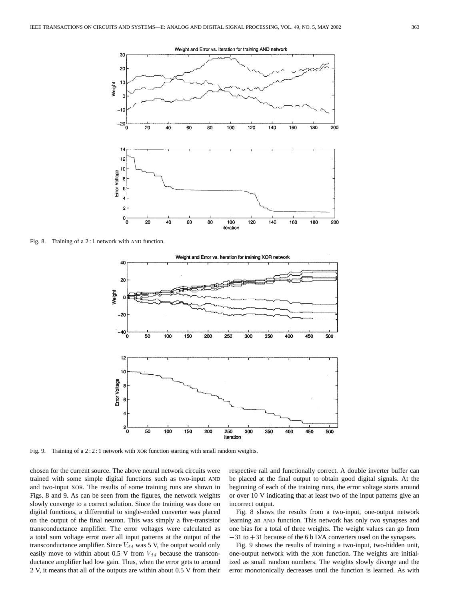

Fig. 8. Training of a 2 : 1 network with AND function.



Fig. 9. Training of a  $2:2:1$  network with XOR function starting with small random weights.

chosen for the current source. The above neural network circuits were trained with some simple digital functions such as two-input AND and two-input XOR. The results of some training runs are shown in Figs. 8 and 9. As can be seen from the figures, the network weights slowly converge to a correct solution. Since the training was done on digital functions, a differential to single-ended converter was placed on the output of the final neuron. This was simply a five-transistor transconductance amplifier. The error voltages were calculated as a total sum voltage error over all input patterns at the output of the transconductance amplifier. Since  $V_{dd}$  was 5 V, the output would only easily move to within about 0.5 V from  $V_{dd}$  because the transconductance amplifier had low gain. Thus, when the error gets to around 2 V, it means that all of the outputs are within about 0.5 V from their respective rail and functionally correct. A double inverter buffer can be placed at the final output to obtain good digital signals. At the beginning of each of the training runs, the error voltage starts around or over 10 V indicating that at least two of the input patterns give an incorrect output.

Fig. 8 shows the results from a two-input, one-output network learning an AND function. This network has only two synapses and one bias for a total of three weights. The weight values can go from  $-31$  to  $+31$  because of the 6 b D/A converters used on the synapses.

Fig. 9 shows the results of training a two-input, two-hidden unit, one-output network with the XOR function. The weights are initialized as small random numbers. The weights slowly diverge and the error monotonically decreases until the function is learned. As with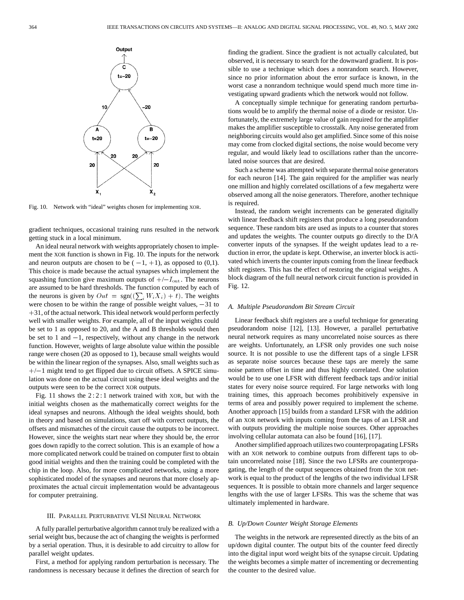

Fig. 10. Network with "ideal" weights chosen for implementing XOR.

gradient techniques, occasional training runs resulted in the network getting stuck in a local minimum.

An ideal neural network with weights appropriately chosen to implement the XOR function is shown in Fig. 10. The inputs for the network getting stuck in a local minimum.<br>An ideal neural network with weights appropriately chosen to implement the XOR function is shown in Fig. 10. The inputs for the network and neuron outputs are chosen to be  $(-1, +1)$ , as op This choice is made because the actual synapses which implement the Find the XOR function is shown in Fig. 10. The inputs for the network<br>and neuron outputs are chosen to be  $(-1, +1)$ , as opposed to  $(0,1)$ .<br>This choice is made because the actual synapses which implement the<br>squashing func are assumed to be hard thresholds. The function computed by each of the neurons is given by  $Out = \text{sgn}((\sum_i W_i X_i) + t)$ . The weights squashing function give maximum outputs of  $+/-I_{\text{out}}$ . The neurons<br>are assumed to be hard thresholds. The function computed by each of<br>the neurons is given by  $Out = \text{sgn}((\sum_i W_i X_i) + t)$ . The weights<br>were chosen to be within  $+31$ , of the actual network. This ideal network would perform perfectly well with smaller weights. For example, all of the input weights could be set to 1 as opposed to 20, and the A and B thresholds would then be set to well with smaller weights. For example, all of the input weights could be set to 1 as opposed to 20, and the A and B thresholds would then function. However, weights of large absolute value within the possible range were chosen (20 as opposed to 1), because small weights would be within the linear region of the synapses. Also, small weights such as function. However, weights of large absolute value within the possible range were chosen (20 as opposed to 1), because small weights would be within the linear region of the synapses. Also, small weights such as  $+/-1$  mig lation was done on the actual circuit using these ideal weights and the outputs were seen to be the correct XOR outputs.

Fig. 11 shows the 2 : 2 : 1 network trained with XOR, but with the initial weights chosen as the mathematically correct weights for the ideal synapses and neurons. Although the ideal weights should, both in theory and based on simulations, start off with correct outputs, the offsets and mismatches of the circuit cause the outputs to be incorrect. However, since the weights start near where they should be, the error goes down rapidly to the correct solution. This is an example of how a more complicated network could be trained on computer first to obtain good initial weights and then the training could be completed with the chip in the loop. Also, for more complicated networks, using a more sophisticated model of the synapses and neurons that more closely approximates the actual circuit implementation would be advantageous for computer pretraining.

### III. PARALLEL PERTURBATIVE VLSI NEURAL NETWORK

A fully parallel perturbative algorithm cannot truly be realized with a serial weight bus, because the act of changing the weights is performed by a serial operation. Thus, it is desirable to add circuitry to allow for parallel weight updates.

First, a method for applying random perturbation is necessary. The randomness is necessary because it defines the direction of search for finding the gradient. Since the gradient is not actually calculated, but observed, it is necessary to search for the downward gradient. It is possible to use a technique which does a nonrandom search. However, since no prior information about the error surface is known, in the worst case a nonrandom technique would spend much more time investigating upward gradients which the network would not follow.

A conceptually simple technique for generating random perturbations would be to amplify the thermal noise of a diode or resistor. Unfortunately, the extremely large value of gain required for the amplifier makes the amplifier susceptible to crosstalk. Any noise generated from neighboring circuits would also get amplified. Since some of this noise may come from clocked digital sections, the noise would become very regular, and would likely lead to oscillations rather than the uncorrelated noise sources that are desired.

Such a scheme was attempted with separate thermal noise generators for each neuron [14]. The gain required for the amplifier was nearly one million and highly correlated oscillations of a few megahertz were observed among all the noise generators. Therefore, another technique is required.

Instead, the random weight increments can be generated digitally with linear feedback shift registers that produce a long pseudorandom sequence. These random bits are used as inputs to a counter that stores and updates the weights. The counter outputs go directly to the D/A converter inputs of the synapses. If the weight updates lead to a reduction in error, the update is kept. Otherwise, an inverter block is activated which inverts the counter inputs coming from the linear feedback shift registers. This has the effect of restoring the original weights. A block diagram of the full neural network circuit function is provided in Fig. 12.

# *A. Multiple Pseudorandom Bit Stream Circuit*

Linear feedback shift registers are a useful technique for generating pseudorandom noise [12], [13]. However, a parallel perturbative neural network requires as many uncorrelated noise sources as there are weights. Unfortunately, an LFSR only provides one such noise source. It is not possible to use the different taps of a single LFSR as separate noise sources because these taps are merely the same noise pattern offset in time and thus highly correlated. One solution would be to use one LFSR with different feedback taps and/or initial states for every noise source required. For large networks with long training times, this approach becomes prohibitively expensive in terms of area and possibly power required to implement the scheme. Another approach [15] builds from a standard LFSR with the addition of an XOR network with inputs coming from the taps of an LFSR and with outputs providing the multiple noise sources. Other approaches involving cellular automata can also be found [16], [17].

Another simplified approach utilizes two counterpropagating LFSRs with an XOR network to combine outputs from different taps to obtain uncorrelated noise [18]. Since the two LFSRs are counterpropagating, the length of the output sequences obtained from the XOR network is equal to the product of the lengths of the two individual LFSR sequences. It is possible to obtain more channels and larger sequence lengths with the use of larger LFSRs. This was the scheme that was ultimately implemented in hardware.

#### *B. Up/Down Counter Weight Storage Elements*

The weights in the network are represented directly as the bits of an up/down digital counter. The output bits of the counter feed directly into the digital input word weight bits of the synapse circuit. Updating the weights becomes a simple matter of incrementing or decrementing the counter to the desired value.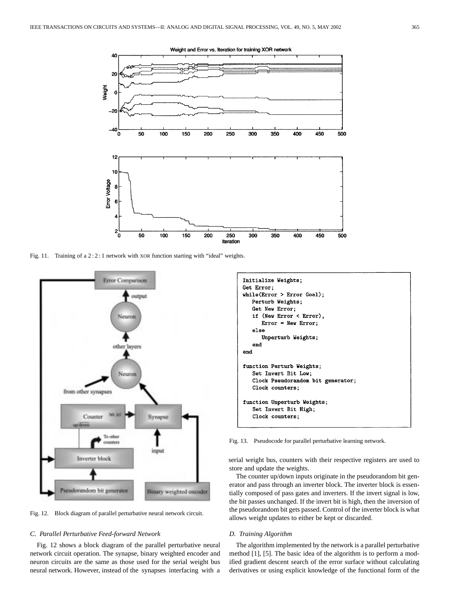

Fig. 11. Training of a 2:2:1 network with XOR function starting with "ideal" weights.



Fig. 12. Block diagram of parallel perturbative neural network circuit.

# *C. Parallel Perturbative Feed-forward Network*

Fig. 12 shows a block diagram of the parallel perturbative neural network circuit operation. The synapse, binary weighted encoder and neuron circuits are the same as those used for the serial weight bus neural network. However, instead of the synapses interfacing with a



Fig. 13. Pseudocode for parallel perturbative learning network.

serial weight bus, counters with their respective registers are used to store and update the weights.

The counter up/down inputs originate in the pseudorandom bit generator and pass through an inverter block. The inverter block is essentially composed of pass gates and inverters. If the invert signal is low, the bit passes unchanged. If the invert bit is high, then the inversion of the pseudorandom bit gets passed. Control of the inverter block is what allows weight updates to either be kept or discarded.

### *D. Training Algorithm*

The algorithm implemented by the network is a parallel perturbative method [1], [5]. The basic idea of the algorithm is to perform a modified gradient descent search of the error surface without calculating derivatives or using explicit knowledge of the functional form of the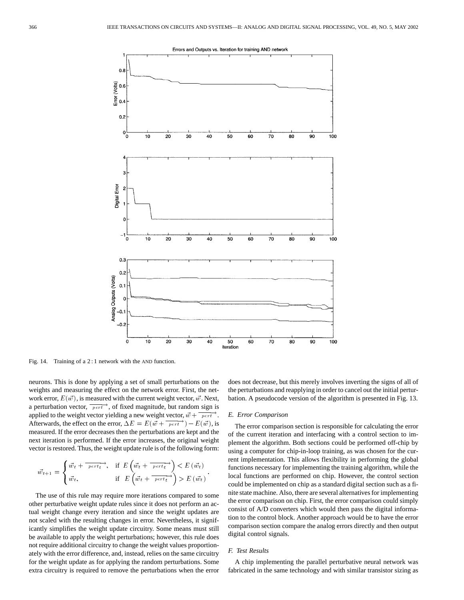

Fig. 14. Training of a 2:1 network with the AND function.

neurons. This is done by applying a set of small perturbations on the weights and measuring the effect on the network error. First, the network error,  $E(\vec{w})$ , is measured with the current weight vector,  $\vec{w}$ . Next, a perturbation vector,  $\overrightarrow{pert}$ , of fixed magnitude, but random sign is applied to the weight vector yielding a new weight vector,  $\vec{w} + \overrightarrow{pert}$ . Afterwards, the effect on the error,  $\Delta E = E(\vec{w} + \overrightarrow{pert}) - E(\vec{w})$ , is measured. If the error decreases then the perturbations are kept and the next iteration is performed. If the error increases, the original weight vector is restored. Thus, the weight update rule is of the following form:

$$
\vec{w}_{t+1} = \begin{cases} \vec{w}_t + \overrightarrow{\text{ pert}_t}, & \text{if } E\left(\vec{w}_t + \overrightarrow{\text{ pert}_t}\right) < E\left(\vec{w}_t\right) \\ \vec{w}_t, & \text{if } E\left(\vec{w}_t + \overrightarrow{\text{ pert}_t}\right) > E\left(\vec{w}_t\right) \end{cases}
$$

The use of this rule may require more iterations compared to some other perturbative weight update rules since it does not perform an actual weight change every iteration and since the weight updates are not scaled with the resulting changes in error. Nevertheless, it significantly simplifies the weight update circuitry. Some means must still be available to apply the weight perturbations; however, this rule does not require additional circuitry to change the weight values proportionately with the error difference, and, instead, relies on the same circuitry for the weight update as for applying the random perturbations. Some extra circuitry is required to remove the perturbations when the error does not decrease, but this merely involves inverting the signs of all of the perturbations and reapplying in order to cancel out the initial perturbation. A pseudocode version of the algorithm is presented in Fig. 13.

#### *E. Error Comparison*

The error comparison section is responsible for calculating the error of the current iteration and interfacing with a control section to implement the algorithm. Both sections could be performed off-chip by using a computer for chip-in-loop training, as was chosen for the current implementation. This allows flexibility in performing the global functions necessary for implementing the training algorithm, while the local functions are performed on chip. However, the control section could be implemented on chip as a standard digital section such as a finite state machine. Also, there are several alternatives for implementing the error comparison on chip. First, the error comparison could simply consist of A/D converters which would then pass the digital information to the control block. Another approach would be to have the error comparison section compare the analog errors directly and then output digital control signals.

# *F. Test Results*

:

A chip implementing the parallel perturbative neural network was fabricated in the same technology and with similar transistor sizing as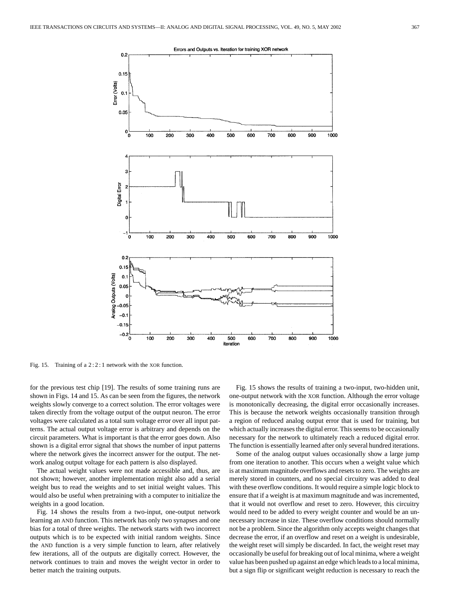

Fig. 15. Training of a 2:2:1 network with the XOR function.

for the previous test chip [19]. The results of some training runs are shown in Figs. 14 and 15. As can be seen from the figures, the network weights slowly converge to a correct solution. The error voltages were taken directly from the voltage output of the output neuron. The error voltages were calculated as a total sum voltage error over all input patterns. The actual output voltage error is arbitrary and depends on the circuit parameters. What is important is that the error goes down. Also shown is a digital error signal that shows the number of input patterns where the network gives the incorrect answer for the output. The network analog output voltage for each pattern is also displayed.

The actual weight values were not made accessible and, thus, are not shown; however, another implementation might also add a serial weight bus to read the weights and to set initial weight values. This would also be useful when pretraining with a computer to initialize the weights in a good location.

Fig. 14 shows the results from a two-input, one-output network learning an AND function. This network has only two synapses and one bias for a total of three weights. The network starts with two incorrect outputs which is to be expected with initial random weights. Since the AND function is a very simple function to learn, after relatively few iterations, all of the outputs are digitally correct. However, the network continues to train and moves the weight vector in order to better match the training outputs.

Fig. 15 shows the results of training a two-input, two-hidden unit, one-output network with the XOR function. Although the error voltage is monotonically decreasing, the digital error occasionally increases. This is because the network weights occasionally transition through a region of reduced analog output error that is used for training, but which actually increases the digital error. This seems to be occasionally necessary for the network to ultimately reach a reduced digital error. The function is essentially learned after only several hundred iterations.

Some of the analog output values occasionally show a large jump from one iteration to another. This occurs when a weight value which is at maximum magnitude overflows and resets to zero. The weights are merely stored in counters, and no special circuitry was added to deal with these overflow conditions. It would require a simple logic block to ensure that if a weight is at maximum magnitude and was incremented, that it would not overflow and reset to zero. However, this circuitry would need to be added to every weight counter and would be an unnecessary increase in size. These overflow conditions should normally not be a problem. Since the algorithm only accepts weight changes that decrease the error, if an overflow and reset on a weight is undesirable, the weight reset will simply be discarded. In fact, the weight reset may occasionally be useful for breaking out of local minima, where a weight value has been pushed up against an edge which leads to a local minima, but a sign flip or significant weight reduction is necessary to reach the